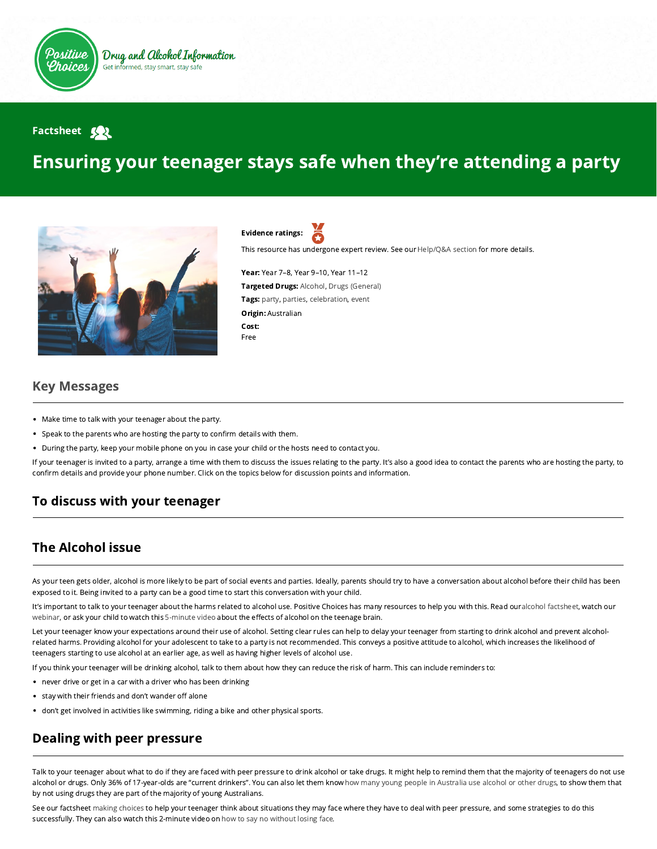

#### **Factsheet Solution**

# Ensuring your teenager stays safe when they're attending a party



Evidence ratings:

This resource has undergone expert review. See our [Help/Q&A section](https://positivechoices.org.au/help/questions-and-answers/) for more details.

Year: Year 7–8, Year 9–10, Year 11–12 Targeted Drugs: Alcohol, Drugs (General) Tags: party, parties, celebration, event Origin: Australian Cost: Free

#### Key Messages

- Make time to talk with your teenager about the party.
- Speak to the parents who are hosting the party to confirm details with them.
- During the party, keep your mobile phone on you in case your child or the hosts need to contact you.

If your teenager is invited to a party, arrange a time with them to discuss the issues relating to the party. It's also a good idea to contact the parents who are hosting the party, to confirm details and provide your phone number. Click on the topics below for discussion points and information.

## To discuss with your teenager

## The Alcohol issue

As your teen gets older, alcohol is more likely to be part of social events and parties. Ideally, parents should try to have a conversation about alcohol before their child has been exposed to it. Being invited to a party can be a good time to start this conversation with your child.

It's important to talk to your teenager about the harms related to alcohol use. Positive Choices has many resources to help you with this. Read ouralcohol factsheet, watch our [webinar,](https://positivechoices.org.au/teachers/adolescent-brain-development-and-prevention) or ask your child to watch this [5-minute video](https://positivechoices.org.au/students/under-construction-alcohol-and-the-teenage-brain) about the effects of alcohol on the teenage brain.

Let your teenager know your expectations around their use of alcohol. Setting clear rules can help to delay your teenager from starting to drink alcohol and prevent alcoholrelated harms. Providing alcohol for your adolescent to take to a party is not recommended. This conveys a positive attitude to alcohol, which increases the likelihood of teenagers starting to use alcohol at an earlier age, as well as having higher levels of alcohol use.

If you think your teenager will be drinking alcohol, talk to them about how they can reduce the risk of harm. This can include reminders to:

- never drive or get in a car with a driver who has been drinking
- stay with their friends and don't wander off alone
- don't get involved in activities like swimming, riding a bike and other physical sports.

# Dealing with peer pressure

Talk to your teenager about what to do if they are faced with peer pressure to drink alcohol or take drugs. It might help to remind them that the majority of teenagers do not use alcohol or drugs. Only 36% of 17-year-olds are "current drinkers". You can also let them knowhow many young people in Australia use alcohol or other drugs, to show them that by not using drugs they are part of the majority of young Australians.

See our factsheet [making choices](https://positivechoices.org.au/students/making-choices) to help your teenager think about situations they may face where they have to deal with peer pressure, and some strategies to do this successfully. They can also watch this 2-minute video on [how to say no without losing face](https://positivechoices.org.au/students/how-to-say-no-without-losing-face).